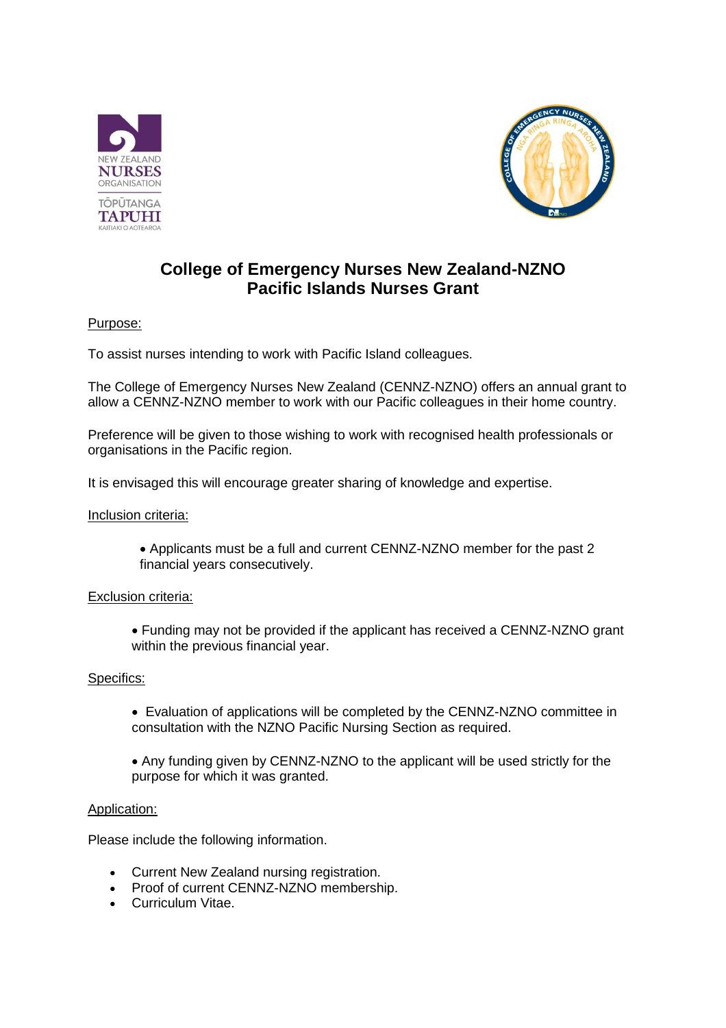



# **College of Emergency Nurses New Zealand-NZNO Pacific Islands Nurses Grant**

## Purpose:

To assist nurses intending to work with Pacific Island colleagues.

The College of Emergency Nurses New Zealand (CENNZ-NZNO) offers an annual grant to allow a CENNZ-NZNO member to work with our Pacific colleagues in their home country.

Preference will be given to those wishing to work with recognised health professionals or organisations in the Pacific region.

It is envisaged this will encourage greater sharing of knowledge and expertise.

### Inclusion criteria:

 Applicants must be a full and current CENNZ-NZNO member for the past 2 financial years consecutively.

### Exclusion criteria:

 Funding may not be provided if the applicant has received a CENNZ-NZNO grant within the previous financial year.

### Specifics:

- Evaluation of applications will be completed by the CENNZ-NZNO committee in consultation with the NZNO Pacific Nursing Section as required.
- Any funding given by CENNZ-NZNO to the applicant will be used strictly for the purpose for which it was granted.

### Application:

Please include the following information.

- Current New Zealand nursing registration.
- Proof of current CENNZ-NZNO membership.
- Curriculum Vitae.